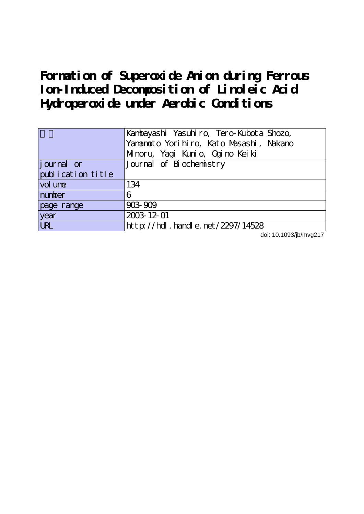**Formation of Superoxide Anion during Ferrous Ion-Induced Decomposition of Linoleic Acid Hydroperoxide under Aerobic Conditions**

|                   | Kanbayashi Yasuhiro, Tero-Kubota Shozo, |
|-------------------|-----------------------------------------|
|                   | Yananoto Yorihiro, Kato Masashi, Nakano |
|                   | Minoru, Yagi Kunio, Ogino Keiki         |
| journal or        | Journal of Biochemistry                 |
| publication title |                                         |
| vol une           | 134                                     |
| number            | 6                                       |
| page range        | 903-909                                 |
| year              | 2003-12-01                              |
| <b>LRL</b>        | http://hdl.handle.net/2297/14528        |

doi: 10.1093/jb/mvg217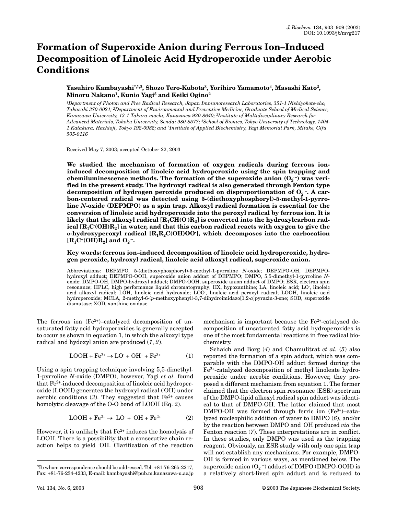# **Formation of Superoxide Anion during Ferrous Ion–Induced Decomposition of Linoleic Acid Hydroperoxide under Aerobic Conditions**

## **Yasuhiro Kambayashi\*[,1,2,](#page-1-0) Shozo Tero-Kubot[a3,](#page-1-0) Yorihiro Yamamoto[4](#page-1-0), Masashi Kato[2](#page-1-0), Minoru Nakano[1](#page-1-0), Kunio Yag[i5](#page-1-0) and Keiki Ogino[2](#page-1-0)**

<span id="page-1-0"></span>*1Department of Photon and Free Radical Research, Japan Immunoresearch Laboratories, 351-1 Nishiyokote-cho, Takasaki 370-0021; 2Department of Environmental and Preventive Medicine, Graduate School of Medical Science, Kanazawa University, 13-1 Takara-machi, Kanazawa 920-8640; 3Institute of Multidisciplinary Research for Advanced Materials, Tohoku University, Sendai 980-8577; 4School of Bionics, Tokyo University of Technology, 1404- 1 Katakura, Hachioji, Tokyo 192-0982; and 5Institute of Applied Biochemistry, Yagi Memorial Park, Mitake, Gifu 505-0116*

Received May 7, 2003; accepted October 22, 2003

**We studied the mechanism of formation of oxygen radicals during ferrous ioninduced decomposition of linoleic acid hydroperoxide using the spin trapping and** chemiluminescence methods. The formation of the superoxide anion  $(O_2^-)$  was veri**fied in the present study. The hydroxyl radical is also generated through Fenton type** decomposition of hydrogen peroxide produced on disproportionation of O<sub>2</sub> -. A car**bon-centered radical was detected using 5-(diethoxyphosphoryl)-5-methyl-1-pyrroline** *N***-oxide (DEPMPO) as a spin trap. Alkoxyl radical formation is essential for the conversion of linoleic acid hydroperoxide into the peroxyl radical by ferrous ion. It is** likely that the alkoxyl radical  $\text{[R}_{\text{1}}\text{CH}(\text{O})\text{R}_{\text{2}}\text{]}$  is converted into the hydroxylcarbon rad**ical [R1C· (OH)R2] in water, and that this carbon radical reacts with oxygen to give the** a-hydroxyperoxyl radical [R<sub>1</sub>R<sub>2</sub>C(OH)OO<sup>'</sup>], which decomposes into the carbocation  $\left[\mathbf{R}_{1}\mathbf{C}^{*}(\mathbf{OH})\mathbf{R}_{2}\right]$  and  $\mathbf{O}_{2}^{-}$ .

**Key words: ferrous ion–induced decomposition of linoleic acid hydroperoxide, hydrogen peroxide, hydroxyl radical, linoleic acid alkoxyl radical, superoxide anion.**

Abbreviations: DEPMPO, 5-(diethoxyphosphoryl)-5-methyl-1-pyrroline *N*-oxide; DEPMPO-OH, DEPMPOhydroxyl adduct; DEPMPO-OOH, superoxide anion adduct of DEPMPO; DMPO, 5,5-dimethyl-1-pyrroline *N*oxide; DMPO-OH, DMPO-hydroxyl adduct; DMPO-OOH, superoxide anion adduct of DMPO; ESR, electron spin resonance; HPLC, high performance liquid chromatography; HX, hypoxanthine; LA, linoleic acid; LO· , linoleic acid alkoxyl radical; LOH, linoleic acid hydroxide; LOO, linoleic acid peroxyl radical; LOOH, linoleic acid hydroperoxide; MCLA, 2-methyl-6-(*p*-methoxyphenyl)-3,7-dihydroimidazo[1,2-*a*]pyrazin-3-one; SOD, superoxide dismutase; XOD, xanthine oxidase.

The ferrous ion  $(Fe^{2+})$ –catalyzed decomposition of unsaturated fatty acid hydroperoxides is generally accepted to occur as shown in equation 1, in which the alkoxyl type radical and hydoxyl anion are produced (*[1](#page-7-0)*, *[2](#page-7-1)*).

$$
\text{LOOH} + \text{Fe}^{2+} \rightarrow \text{LO'} + \text{OH}^- + \text{Fe}^{3+} \tag{1}
$$

Using a spin trapping technique involving 5,5-dimethyl-1-pyrroline *N*-oxide (DMPO), however, Yagi *et al.* found that Fe2+-induced decomposition of linoleic acid hydroperoxide (LOOH) generates the hydroxyl radical (<sup>·</sup>OH) under aerobic conditions  $(3)$  $(3)$  $(3)$ . They suggested that  $Fe<sup>2+</sup>$  causes homolytic cleavage of the O-O bond of LOOH (Eq. 2).

$$
\text{LOOH} + \text{Fe}^{2+} \rightarrow \text{ LO}^{\cdot} + \text{ OH} + \text{Fe}^{2+} \tag{2}
$$

However, it is unlikely that  $Fe<sup>2+</sup>$  induces the homolysis of LOOH. There is a possibility that a consecutive chain reaction helps to yield · OH. Clarification of the reaction

mechanism is important because the  $Fe<sup>2+</sup>$ -catalyzed decomposition of unsaturated fatty acid hydroperoxides is one of the most fundamental reactions in free radical biochemistry.

Schaich and Borg (*[4](#page-7-3)*) and Chamulitrat *et al.* (*[5](#page-7-4)*) also reported the formation of a spin adduct, which was comparable with the DMPO-OH adduct formed during the Fe2+-catalyzed decomposition of methyl linoleate hydroperoxide under aerobic conditions. However, they proposed a different mechanism from equation 1. The former claimed that the electron spin resonance (ESR) spectrum of the DMPO-lipid alkoxyl radical spin adduct was identical to that of DMPO-OH. The latter claimed that most DMPO-OH was formed through ferric ion (Fe<sup>3+</sup>)-catalyzed nucleophilic addition of water to DMPO (*[6](#page-7-5)*), and/or by the reaction between DMPO and OH produced *via* the Fenton reaction (*[7](#page-7-6)*). These interpretations are in conflict. In these studies, only DMPO was used as the trapping reagent. Obviously, an ESR study with only one spin trap will not establish any mechanisms. For example, DMPO-OH is formed in various ways, as mentioned below. The superoxide anion (O<sub>2</sub> <sup>-</sup>) adduct of DMPO (DMPO-OOH) is a relatively short-lived spin adduct and is reduced to

<sup>\*</sup>To whom correspondence should be addressed. Tel: +81-76-265-2217, Fax: +81-76-234-4233, E-mail: kambayashi@pub.m.kanazawa-u.ac.jp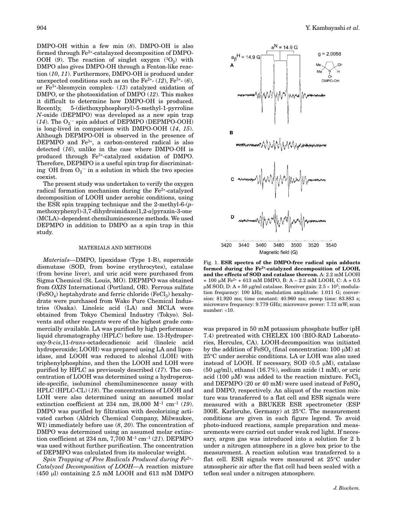DMPO-OH within a few min (*[8](#page-7-7)*). DMPO-OH is also formed through Fe2+-catalayzed decomposition of DMPO-OOH ([9](#page-7-8)). The reaction of singlet oxygen  $(^1O_2)$  with DMPO also gives DMPO-OH through a Fenton-like reaction (*[10](#page-7-9)*, *[11](#page-7-10)*). Furthermore, DMPO-OH is produced under unexpected conditions such as on the  $Fe^{2+} (12)$  $Fe^{2+} (12)$  $Fe^{2+} (12)$ ,  $Fe^{3+} (6)$  $Fe^{3+} (6)$  $Fe^{3+} (6)$ , or Fe3+-bleomycin complex- (*[13](#page-7-12)*) catalyzed oxidation of DMPO, or the photooxidation of DMPO (*[12](#page-7-11)*). This makes it difficult to determine how DMPO-OH is produced. Recently, 5-(diethoxyphosphoryl)-5-methyl-1-pyrroline *N*-oxide (DEPMPO) was developed as a new spin trap  $(14)$  $(14)$  $(14)$ . The  $O_2$ <sup>-</sup> spin adduct of DEPMPO (DEPMPO-OOH) is long-lived in comparison with DMPO-OOH (*[14](#page-7-13)*, *[15](#page-7-14)*). Although DEPMPO-OH is observed in the presence of DEPMPO and  $Fe<sup>3+</sup>$ , a carbon-centered radical is also detected (*[16](#page-7-15)*), unlike in the case where DMPO-OH is produced through Fe3+-catalyzed oxidation of DMPO. Therefore, DEPMPO is a useful spin trap for discriminating  $OH$  from  $O_2$ <sup>-</sup> in a solution in which the two species coexist.

The present study was undertaken to verify the oxygen radical formation mechanism during the  $Fe<sup>2+</sup>$ -catalyzed decomposition of LOOH under aerobic conditions, using the ESR spin trapping technique and the 2-methyl-6-(*p*methoxyphenyl)-3,7-dihydroimidazo[1,2-*a*]pyrazin-3-one (MCLA)–dependent chemiluminescence methods. We used DEPMPO in addition to DMPO as a spin trap in this study.

### MATERIALS AND METHODS

*Materials—*DMPO, lipoxidase (Type 1-B), superoxide dismutase (SOD, from bovine erythrocytes), catalase (from bovine liver), and uric acid were purchased from Sigma Chemical (St. Louis, MO). DEPMPO was obtained from *OXIS* International (Portland, OR). Ferrous sulfate  $(FeSO_4)$  heptahydrate and ferric chloride  $(FeCl_3)$  hexahydrate were purchased from Wako Pure Chemical Industries (Osaka). Linoleic acid (LA) and MCLA were obtained from Tokyo Chemical Industry (Tokyo). Solvents and other reagents were of the highest grade commercially available. LA was purified by high performance liquid chromatography (HPLC) before use. 13-Hydroperoxy-9-*cis*,11-*trans*-octadecadienoic acid (linoleic acid hydroperoxide; LOOH) was prepared using LA and lipoxidase, and LOOH was reduced to alcohol (LOH) with triphenylphosphine, and then the LOOH and LOH were purified by HPLC as previously described (*[17](#page-7-16)*). The concentration of LOOH was determined using a hydroperoxide-specific, isoluminol chemiluminescence assay with HPLC (HPLC-CL) (*[18](#page-7-17)*). The concentrations of LOOH and LOH were also determined using an assumed molar extinction coefficient at 234 nm, 28,000  $M^{-1}$  cm<sup>-1</sup> ([19](#page-7-18)). DMPO was purified by filtration with decolorizing activated carbon (Aldrich Chemical Company, Milwaukee, WI) immediately before use (*[8](#page-7-7)*, *[20](#page-7-19)*). The concentration of DMPO was determined using an assumed molar extinction coefficient at 234 nm, 7,700 M–1 cm–1 (*[21](#page-7-20)*). DEPMPO was used without further purification. The concentration of DEPMPO was calculated from its molecular weight.

*Spin Trapping of Free Radicals Produced during Fe2+- Catalyzed Decomposition of LOOH—*A reaction mixture  $(450 \text{ µl})$  containing  $2.5 \text{ mM }$  LOOH and  $613 \text{ mM }$  DMPO



Fig. 1. **ESR spectra of the DMPO-free radical spin adducts formed during the Fe2+-catalyzed decomposition of LOOH, and the effects of SOD and catalase thereon.** A: 2.2 mM LOOH  $+ 100 \mu M$  Fe<sup>2+</sup> + 613 mM DMPO, B: A – 2.2 mM LOOH, C: A + 0.5 μM SOD, D: A + 50 μg/ml catalase. Receiver gain: 2.5 × 10<sup>5</sup>; modulation frequency: 100 kHz; modulation amplitude: 1.011 G; conversion: 81.920 ms; time constant: 40.960 ms; sweep time: 83.883 s; microwave frequency: 9.779 GHz; microwave power: 7.73 mW; scan  $number: \times 10$ .

was prepared in 50 mM potassium phosphate buffer (pH 7.4) pretreated with CHELEX 100 (BIO-RAD Laboratories, Hercules, CA). LOOH-decomposition was initiated by the addition of  $\text{FeSO}_4$  (final concentration: 100  $\mu$ M) at 25C under aerobic conditions. LA or LOH was also used instead of LOOH. If necessary, SOD  $(0.5 \mu M)$ , catalase  $(50 \text{ }\mu\text{g/ml})$ , ethanol  $(16.7\%)$ , sodium azide  $(1 \text{ }\mathrm{mM})$ , or uric acid (100  $\mu$ M) was added to the reaction mixture. FeCl $_3$ and DEPMPO (20 or 40 mM) were used instead of  $\text{FeSO}_4$ and DMPO, respectively. An aliquot of the reaction mixture was transferred to a flat cell and ESR signals were measured with a BRUKER ESR spectrometer (ESP  $300E$ . Karlsruhe, Germany) at  $25^{\circ}$ C. The measurement conditions are given in each figure legend. To avoid photo-induced reactions, sample preparation and measurements were carried out under weak red light. If necessary, argon gas was introduced into a solution for 2 h under a nitrogen atmosphere in a glove box prior to the measurement. A reaction solution was transferred to a flat cell. ESR signals were measured at  $25^{\circ}$ C under atmospheric air after the flat cell had been sealed with a teflon seal under a nitrogen atmosphere.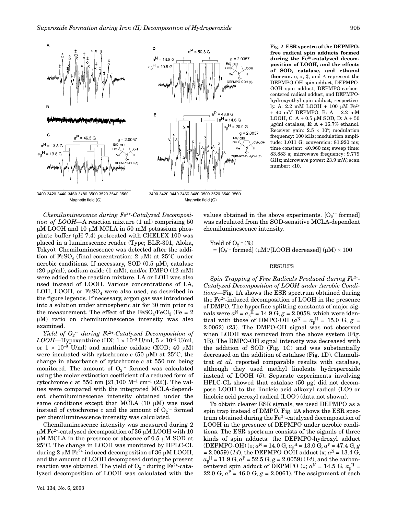

Magnetic field (G)



Fig. 2. **ESR spectra of the DEPMPOfree radical spin adducts formed during the Fe2+-catalyzed decomposition of LOOH, and the effects of SOD, catalase, and ethanol thereon.** o, x,  $\ddagger$ , and  $\Delta$  represent the DEPMPO-OH spin adduct, DEPMPO-OOH spin adduct, DEPMPO-carboncentered radical adduct, and DEPMPOhydroxyethyl spin adduct, respectively. A:  $2.2 \text{ mM }$  LOOH + 100  $\mu$ M Fe<sup>2+</sup> + 40 mM DEPMPO, B: A – 2.2 mM LOOH, C: A +  $0.5 \mu M$  SOD, D: A +  $50$  $\mu$ g/ml catalase, E: A + 16.7% ethanol. Receiver gain:  $2.5 \times 10^5$ ; modulation frequency: 100 kHz; modulation amplitude: 1.011 G; conversion: 81.920 ms; time constant: 40.960 ms; sweep time: 83.883 s; microwave frequency: 9.779 GHz; microwave power: 23.9 mW; scan  $number: \times 10$ .

3400 3420 3440 3460 3480 3500 3520 3540 3560 Magnetic field (G)

*Chemiluminescence during Fe2+-Catalyzed Decomposition of LOOH—*A reaction mixture (1 ml) comprising 50  $\mu$ M LOOH and 10  $\mu$ M MCLA in 50 mM potassium phosphate buffer (pH 7.4) pretreated with CHELEX 100 was placed in a luminescence reader (Type; BLR-301, Aloka, Tokyo). Chemiluminescence was detected after the addition of  $\text{FeSO}_4$  (final concentration: 2 µM) at 25°C under aerobic conditions. If necessary, SOD  $(0.5 \mu M)$ , catalase (20 µg/ml), sodium azide (1 mM), and/or DMPO (12 mM) were added to the reaction mixture. LA or LOH was also used instead of LOOH. Various concentrations of LA, LOH, LOOH, or  $FeSO<sub>4</sub>$  were also used, as described in the figure legends. If necessary, argon gas was introduced into a solution under atmospheric air for 30 min prior to the measurement. The effect of the  $FeSO_4/FeCl_3$  (Fe = 2 -M) ratio on chemiluminescence intensity was also examined.

*Yield of O2 · – during Fe2+-Catalyzed Decomposition of LOOH*—Hypoxanthine (HX;  $1 \times 10^{-3}$  U/ml,  $5 \times 10^{-3}$  U/ml, or  $1 \times 10^{-3}$  U/ml) and xanthine oxidase (XOD; 40  $\mu$ M) were incubated with cytochrome  $c$  (50  $\mu$ M) at 25°C, the change in absorbance of cytochrome *c* at 550 nm being monitored. The amount of  $O_2$  formed was calculated using the molar extinction coefficient of a reduced form of cytochrome *c* at 550 nm [21,100 M–1 cm–1 (*[22](#page-7-21)*)]. The values were compared with the integrated MCLA-dependent chemiluminescence intensity obtained under the same conditions except that MCLA  $(10 \mu M)$  was used instead of cytochrome  $c$  and the amount of  $O_2$ <sup>-</sup> formed per chemiluminescence intensity was calculated.

Chemiluminescence intensity was measured during 2  $\rm \mu M~Fe^{2+}$ -catalyzed decomposition of 36  $\rm \mu M~LOOH$  with 10  $\mu$ M MCLA in the presence or absence of 0.5  $\mu$ M SOD at 25°C. The change in LOOH was monitored by HPLC-CL  $\mu$  during 2  $\mu$ M Fe $^{2+}$ -induced decomposition of 36  $\mu$ M LOOH, and the amount of LOOH decomposed during the present reaction was obtained. The yield of  $\mathrm{O}_2$  - during Fe $^{2+}$ -catalyzed decomposition of LOOH was calculated with the

values obtained in the above experiments.  $[O_2^-$  formed] was calculated from the SOD-sensitive MCLA-dependent chemiluminescence intensity.

Yield of O<sub>2</sub> <sup>–</sup>  $(\%)$  $=[O_2$ <sup>-</sup> formed] (µM)/[LOOH decreased] (µM) × 100

#### RESULTS

*Spin Trapping of Free Radicals Produced during Fe2+- Catalyzed Decomposition of LOOH under Aerobic Conditions—*Fig. [1A](#page-7-23) shows the ESR spectrum obtained during the Fe2+-induced decomposition of LOOH in the presence of DMPO. The hyperfine splitting constants of major signals were  $a^N = a_\beta$ <sup>H</sup> = 14.9 G,  $g = 2.0058$ , which were identical with those of DMPO-OH ( $a^N = a_\beta^H = 15.0$  G,  $g =$ 2.0062) (*[23](#page-7-22)*). The DMPO-OH signal was not observed when LOOH was removed from the above system (Fig. [1](#page-7-23)B). The DMPO-OH signal intensity was decreased with the addition of SOD (Fig. [1C](#page-7-23)) and was substantially decreased on the addition of catalase (Fig. [1](#page-7-23)D). Chamulitrat *et al.* reported comparable results with catalase, although they used methyl linoleate hydroperoxide instead of LOOH (*[5](#page-7-4)*). Separate experiments involving  $\rm HPLC\text{-}CL$  showed that catalase (50  $\rm \mu g)$  did not decompose LOOH to the linoleic acid alkoxyl radical (LO· ) or linoleic acid peroxyl radical (LOO· ) (data not shown).

To obtain clearer ESR signals, we used DEPMPO as a spin trap instead of DMPO. Fig. [2](#page-7-23)A shows the ESR spectrum obtained during the  $Fe<sup>2+</sup>$ -catalyzed decomposition of LOOH in the presence of DEPMPO under aerobic conditions. The ESR spectrum consists of the signals of three kinds of spin adducts: the DEPMPO-hydroxyl adduct  $(DEPMPO-OH)$  (o;  $a^N = 14.0$  G,  $a_\beta^H = 13.0$  G,  $a^P = 47.4$  G,  $g$  $= 2.0059$  (*[14](#page-7-13)*), the DEPMPO-OOH adduct (x;  $a^N = 13.4$  G,  $a_{\beta}$ <sup>H</sup> = 11.9 G,  $a^P$  = 52.5 G,  $g$  = 2.0059) (*[14](#page-7-13)*), and the carboncentered spin adduct of DEPMPO ( $\ddagger$ ;  $a^{\text{N}}$  = 14.5 G,  $a_{\beta}^{\text{H}}$  = 22.0 G,  $a^P = 46.0$  G,  $g = 2.0061$ ). The assignment of each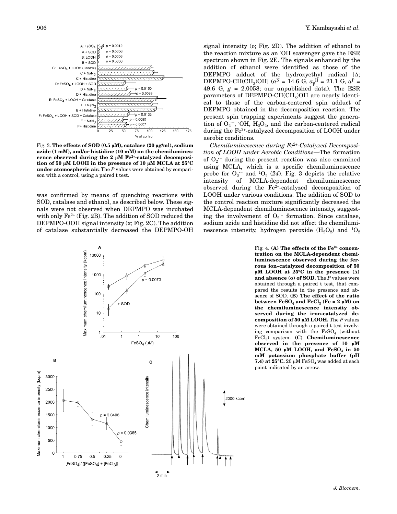

Fig. 3. **The effects of SOD (0.5 M), catalase (20 g/ml), sodium azide (1 mM), and/or histidine (10 mM) on the chemiluminescence observed during the 2 M Fe2+-catalyzed decomposition of 50 M LOOH in the presence of 10 M MCLA at 25**-**C under atomospheric air.** The *P* values were obtained by comparison with a control, using a paired t test.

was confirmed by means of quenching reactions with SOD, catalase and ethanol, as described below. These signals were not observed when DEPMPO was incubated with only  $Fe^{2+}$  (Fig. [2B](#page-7-23)). The addition of SOD reduced the DEPMPO-OOH signal intensity (x; Fig. [2](#page-7-23)C). The addition of catalase substantially decreased the DEPMPO-OH

signal intensity (o; Fig. [2](#page-7-23)D). The addition of ethanol to the reaction mixture as an OH scavenger gave the ESR spectrum shown in Fig. [2E](#page-7-23). The signals enhanced by the addition of ethanol were identified as those of the DEPMPO adduct of the hydroxyethyl radical  $[\Delta;$  $DEPMPO-CH(CH<sub>3</sub>)OH$ ] ( $a<sup>N</sup> = 14.6$  G,  $a<sub>\beta</sub><sup>H</sup> = 21.1$  G,  $a<sup>P</sup> =$ 49.6 G, *g* = 2.0058; our unpublished data). The ESR parameters of DEPMPO-CH(CH<sub>3</sub>)OH are nearly identical to those of the carbon-centered spin adduct of DEPMPO obtained in the decomposition reaction. The present spin trapping experiments suggest the generation of  $\mathrm{O}_2$  ,  $\mathrm{OH}$ ,  $\mathrm{H}_2\mathrm{O}_2$ , and the carbon-centered radical during the Fe2+-catalyzed decomposition of LOOH under aerobic conditions.

*Chemiluminescence during Fe2+-Catalyzed Decomposition of LOOH under Aerobic Conditions—*The formation of  $O_2$ <sup>-</sup> during the present reaction was also examined using MCLA, which is a specific chemiluminescence probe for  $O_2$ <sup>-</sup> and <sup>1</sup> $O_2$  ([24](#page-7-24)). Fig. [3](#page-7-23) depicts the relative intensity of MCLA-dependent chemiluminescence observed during the  $Fe<sup>2+</sup>$ -catalyzed decomposition of LOOH under various conditions. The addition of SOD to the control reaction mixture significantly decreased the MCLA-dependent chemiluminescence intensity, suggesting the involvement of  $O_2$ <sup>-</sup> formation. Since catalase, sodium azide and histidine did not affect the chemiluminescence intensity, hydrogen peroxide  $(H_2O_2)$  and  ${}^{1}O_2$ 



Fig. 4. **(A)** The effects of the Fe<sup>2+</sup> concen**tration on the MCLA-dependent chemiluminescence observed during the ferrous ion–catalyzed decomposition of 50**  $\mu$ M LOOH at 25<sup>o</sup>C in the presence ( $\Delta$ ) **and absence (o) of SOD.** The *P* values were obtained through a paired t test, that compared the results in the presence and absence of SOD. **(B) The effect of the ratio between FeSO<sub>4</sub> and FeCl<sub>3</sub> (Fe = 2**  $\mu$ **M) on the chemiluminescence intensity observed during the iron-catalyzed decomposition of 50 M LOOH.** The *P* values were obtained through a paired t test involving comparison with the  $FeSO<sub>4</sub>$  (without FeCl3) system. **(C) Chemiluminescence observed in the presence of 10 M** MCLA,  $50 \mu M$  LOOH, and  $FeSO<sub>4</sub>$  in  $50$ **mM potassium phosphate buffer (pH 7.4) at 25°C.** 20  $\upmu$ M FeSO $_4$  was added at each point indicated by an arrow.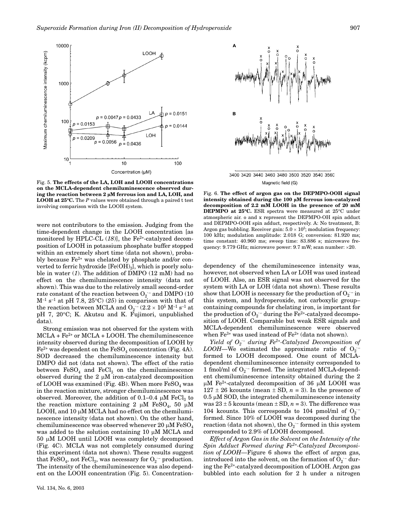

Fig. 5. **The effects of the LA, LOH and LOOH concentrations on the MCLA-dependent chemiluminescence observed during the reaction between 2 M ferrous ion and LA, LOH, and** LOOH at 25°C. The P values were obtained through a paired t test involving comparison with the LOOH system.

were not contributors to the emission. Judging from the time-dependent change in the LOOH concentration [as monitored by HPLC-CL  $(18)$  $(18)$  $(18)$ ], the Fe<sup>2+</sup>-catalyzed decomposition of LOOH in potassium phosphate buffer stopped within an extremely short time (data not shown), probably because Fe<sup>2+</sup> was chelated by phosphate and/or converted to ferric hydroxide  $[Fe(OH)_3]$ , which is poorly soluble in water (*[1](#page-7-0)*). The addition of DMPO (12 mM) had no effect on the chemiluminescence intensity (data not shown). This was due to the relatively small second-order rate constant of the reaction between  $\mathrm{O}_2$  - and DMPO (10  $M^{-1}$  s<sup>-1</sup> at pH 7.8, [25](#page-7-25)<sup>o</sup>C) (25) in comparison with that of the reaction between MCLA and  $\mathrm{O_2}^-(2.2\times 10^5\ \mathrm{M^{-1}\ s^{-1}}$  at pH 7, 20°C; K. Akutsu and K. Fujimori, unpublished data).

Strong emission was not observed for the system with  $MCLA + Fe<sup>2+</sup>$  or  $MCLA + LOOH$ . The chemiluminescence intensity observed during the decomposition of LOOH by  $Fe<sup>2+</sup>$  was dependent on the  $FeSO<sub>4</sub>$  concentration (Fig. [4](#page-7-23)A). SOD decreased the chemiluminescence intensity but DMPO did not (data not shown). The effect of the ratio between  $\text{FeSO}_4$  and  $\text{FeCl}_3$  on the chemiluminescence observed during the  $2 \mu M$  iron-catalyzed decomposition of LOOH was examined (Fig. [4B](#page-7-23)). When more  $FeSO<sub>4</sub>$  was in the reaction mixture, stronger chemiluminescence was observed. Moreover, the addition of 0.1–0.4  $\mu$ M  $\text{FeCl}_3$  to the reaction mixture containing 2  $\mu$ M FeSO<sub>4</sub>, 50  $\mu$ M LOOH, and 10  $\upmu$ M MCLA had no effect on the chemiluminescence intensity (data not shown). On the other hand, chemiluminescence was observed whenever 20  $\upmu$ M FeSO $_4$ was added to the solution containing 10  $\mu$ M MCLA and 50 µM LOOH until LOOH was completely decomposed (Fig. [4](#page-7-23)C). MCLA was not completely consumed during this experiment (data not shown). These results suggest that  $\text{FeSO}_4$ , not  $\text{FeCl}_3$ , was necessary for  $\text{O}_2$  – production. The intensity of the chemiluminescence was also dependent on the LOOH concentration (Fig. [5\)](#page-7-23). Concentration-



3400 3420 3440 3460 3480 3500 3520 3540 3560 Magnetic field (G)

Fig. 6. **The effect of argon gas on the DEPMPO-OOH signal intensity obtained during the 100 M ferrous ion–catalyzed decomposition of 2.2 mM LOOH in the presence of 20 mM DEPMPO at 25**-**C.** ESR spectra were measured at 25C under atmospheric air. o and x represent the DEPMPO-OH spin adduct and DEPMPO-OOH spin adduct, respectively. A: No treatment, B: Argon gas bubbling. Receiver gain:  $5.0 \times 10^5$ ; modulation frequency: 100 kHz; modulation amplitude: 2.018 G; conversion: 81.920 ms; time constant: 40.960 ms; sweep time: 83.886 s; microwave frequency: 9.779 GHz; microwave power: 9.7 mW; scan number: -20.

dependency of the chemiluminescence intensity was, however, not observed when LA or LOH was used instead of LOOH. Also, an ESR signal was not observed for the system with LA or LOH (data not shown). These results show that LOOH is necessary for the production of  $\mathrm{O}_2$  – in this system, and hydroperoxide, not carboxylic group– containing compounds for chelating iron, is important for the production of  $\mathrm{O_2}^-$  during the Fe $^{2+}$ -catalyzed decomposition of LOOH. Comparable but weak ESR signals and MCLA-dependent chemiluminescence were observed when  $Fe^{3+}$  was used instead of  $Fe^{2+}$  (data not shown).

*Yield of O2 · – during Fe2+-Catalyzed Decomposition of*  $\emph{LOOH}$ —We estimated the approximate ratio of O<sub>2</sub><sup>-</sup> formed to LOOH decomposed. One count of MCLAdependent chemiluminescence intensity corresponded to 1 fmol/ml of  $O_2$ <sup>-</sup> formed. The integrated MCLA-dependent chemiluminescence intensity obtained during the 2  $\mu$ M Fe $^{2+}$ -catalyzed decomposition of 36  $\mu$ M LOOH was  $127 \pm 26$  kcounts (mean  $\pm$  SD,  $n = 3$ ). In the presence of  $0.5 \mu$ M SOD, the integrated chemiluminescence intensity was  $23 \pm 5$  kcounts (mean  $\pm$  SD,  $n = 3$ ). The difference was 104 kcounts. This corresponds to 104 pmol/ml of  $O_2$ formed. Since 10% of LOOH was decomposed during the  $reaction$  (data not shown), the  $O_2$   $\bar{\ }$  formed in this system corresponded to 2.9% of LOOH decomposed.

*Effect of Argon Gas in the Solvent on the Intensity of the Spin Adduct Formed during Fe2+-Catalyzed Decomposition of LOOH—*Figure [6](#page-7-23) shows the effect of argon gas,  $introduced$  into the solvent, on the formation of  $O_2$  – during the Fe2+-catalyzed decomposition of LOOH. Argon gas bubbled into each solution for 2 h under a nitrogen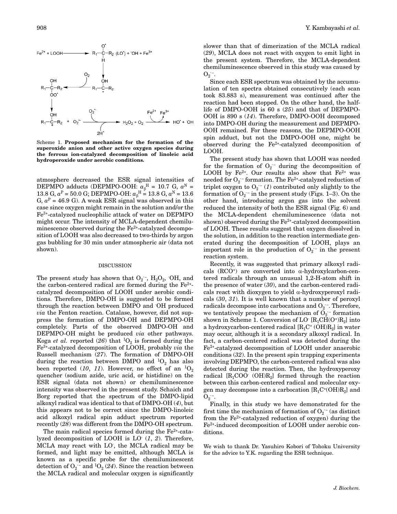

Scheme 1. **Proposed mechanism for the formation of the superoxide anion and other active oxygen species during the ferrous ion-catalyzed decomposition of linoleic acid hydroperoxide under aerobic conditions.**

atmosphere decreased the ESR signal intensities of  $\text{DEPMPO}$  adducts (DEPMPO-OOH:  $\alpha_\beta^H = 10.7 \, \text{G}, \, \alpha^N =$ 13.8 G,  $a^P = 50.0$  G; DEPMPO-OH:  $a_\beta^H = 13.8$  G,  $a^N = 13.6$ G,  $a^P = 46.9$  G). A weak ESR signal was observed in this case since oxygen might remain in the solution and/or the Fe3+-catalyzed nucleophilic attack of water on DEPMPO might occur. The intensity of MCLA-dependent chemiluminescence observed during the Fe<sup>2+</sup>-catalyzed decomposition of LOOH was also decreased to two-thirds by argon gas bubbling for 30 min under atmospheric air (data not shown).

#### DISCUSSION

The present study has shown that  $O_2^-$ ,  $H_2O_2$ , OH, and the carbon-centered radical are formed during the  $Fe<sup>2+</sup>$ catalyzed decomposition of LOOH under aerobic conditions. Therefore, DMPO-OH is suggested to be formed through the reaction between DMPO and · OH produced *via* the Fenton reaction. Catalase, however, did not suppress the formation of DMPO-OH and DEPMPO-OH completely. Parts of the observed DMPO-OH and DEPMPO-OH might be produced *via* other pathways. Koga *et al.* reported ([26](#page-7-26)) that  ${}^{1}O_{2}$  is formed during the Fe3+-catalyzed decomposition of LOOH, probably *via* the Russell mechanism (*[27](#page-7-27)*). The formation of DMPO-OH during the reaction between DMPO and  ${}^{1}O_{2}$  has also been reported ([10](#page-7-9), [11](#page-7-10)). However, no effect of an  ${}^{1}O_{2}$ quencher (sodium azide, uric acid, or histidine) on the ESR signal (data not shown) or chemiluminescence intensity was observed in the present study. Schaich and Borg reported that the spectrum of the DMPO-lipid alkoxyl radical was identical to that of DMPO-OH (*[4](#page-7-3)*), but this appears not to be correct since the DMPO-linoleic acid alkoxyl radical spin adduct spectrum reported recently (*[28](#page-7-28)*) was different from the DMPO-OH spectrum.

The main radical species formed during the  $Fe<sup>2+</sup>$ -catalyzed decomposition of LOOH is LO· (*[1](#page-7-0)*, *[2](#page-7-1)*). Therefore, MCLA may react with LO· , the MCLA radical may be formed, and light may be emitted, although MCLA is known as a specific probe for the chemiluminescent detection of  $O_2$  <sup>–</sup> and <sup>1</sup> $O_2$  ([24](#page-7-24)). Since the reaction between the MCLA radical and molecular oxygen is significantly

slower than that of dimerization of the MCLA radical (*[29](#page-7-29)*), MCLA does not react with oxygen to emit light in the present system. Therefore, the MCLA-dependent chemiluminescence observed in this study was caused by  $O_2$  –.

Since each ESR spectrum was obtained by the accumulation of ten spectra obtained consecutively (each scan took 83.883 s), measurement was continued after the reaction had been stopped. On the other hand, the halflife of DMPO-OOH is 60 s (*[25](#page-7-25)*) and that of DEPMPO-OOH is 890 s (*[14](#page-7-13)*). Therefore, DMPO-OOH decomposed into DMPO-OH during the measurement and DEPMPO-OOH remained. For these reasons, the DEPMPO-OOH spin adduct, but not the DMPO-OOH one, might be observed during the  $Fe<sup>2+</sup>$ -catalyzed decomposition of LOOH.

The present study has shown that LOOH was needed for the formation of  $O_2$ <sup>-</sup> during the decomposition of LOOH by Fe<sup>2+</sup>. Our results also show that  $Fe^{2+}$  was needed for  $\mathrm{O_2}$  <sup>–</sup> formation. The Fe $^{2+}$ -catalyzed reduction of triplet oxygen to  $O_2$ <sup>-</sup> ([1](#page-7-0)) contributed only slightly to the formation of  $O_2$ <sup>-</sup> in the present study (Figs. [1–3](#page-7-23)). On the other hand, introducing argon gas into the solvent reduced the intensity of both the ESR signal (Fig. [6\)](#page-7-23) and the MCLA-dependent chemiluminescence (data not shown) observed during the Fe<sup>2+</sup>-catalyzed decomposition of LOOH. These results suggest that oxygen dissolved in the solution, in addition to the reaction intermediate generated during the decomposition of LOOH, plays an important role in the production of  $O_2$ <sup>-</sup> in the present reaction system.

Recently, it was suggested that primary alkoxyl radicals  $(RCO<sup>+</sup>)$  are converted into  $\alpha$ -hydroxylcarbon-centered radicals through an unusual 1,2-H-atom shift in the presence of water (*[30](#page-7-30)*), and the carbon-centered radicals react with dioxygen to yield  $\alpha$ -hydroxyperoxyl radicals (*[30](#page-7-30)*, *[31](#page-7-31)*). It is well known that a number of peroxyl radicals decompose into carbocations and  $\mathrm{O}_2$  -. Therefore, we tentatively propose the mechanism of  $O_2$  formation shown in Scheme [1.](#page-7-33) Conversion of LO $\rm [R_1CH(O^+)R_2]$  into a hydroxycarbon-centered radical  $[R_1C^+(OH)R_2]$  in water may occur, although it is a secondary alkoxyl radical. In fact, a carbon-centered radical was detected during the Fe2+-catalyzed decomposition of LOOH under anaerobic conditions (*[32](#page-7-32)*). In the present spin trapping experiments involving DEPMPO, the carbon-centered radical was also detected during the reaction. Then, the hydroxyperoxy radical  $[R_1COO (OH)R_2]$  formed through the reaction between this carbon-centered radical and molecular oxygen may decompose into a carbocation  $[R_1C^*(OH)R_2]$  and  $O_2$  –.

Finally, in this study we have demonstrated for the first time the mechanism of formation of  $O_2$  – (as distinct from the  $Fe^{2+}$ -catalyzed reduction of oxygen) during the Fe2+-induced decomposition of LOOH under aerobic conditions.

We wish to thank Dr. Yasuhiro Kobori of Tohoku University for the advice to Y.K. regarding the ESR technique.